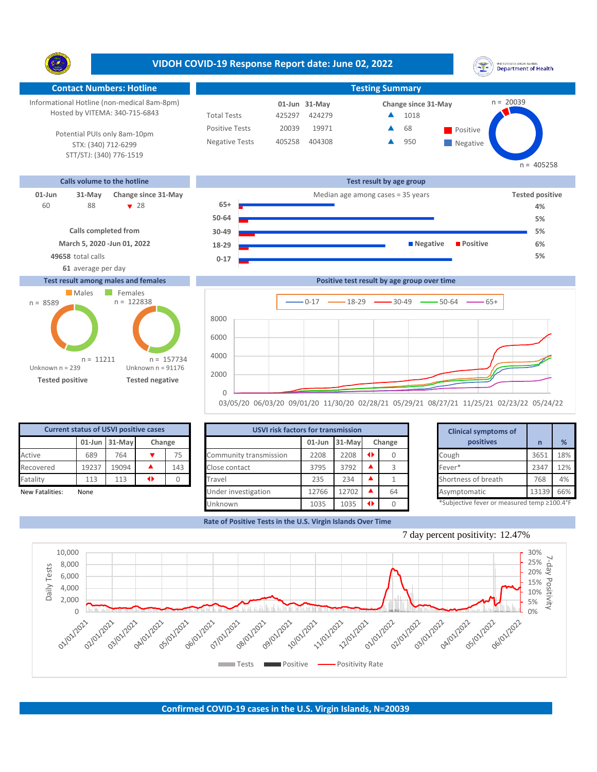|                                                                                                                                                                                    | VIDOH COVID-19 Response Report date: June 02, 2022                                                              |                                                                         |                                                      | UNITED STATES VIRGIN ISLANDS<br><b>Department of Health</b>                                         |
|------------------------------------------------------------------------------------------------------------------------------------------------------------------------------------|-----------------------------------------------------------------------------------------------------------------|-------------------------------------------------------------------------|------------------------------------------------------|-----------------------------------------------------------------------------------------------------|
| <b>Contact Numbers: Hotline</b>                                                                                                                                                    |                                                                                                                 |                                                                         | <b>Testing Summary</b>                               |                                                                                                     |
| Informational Hotline (non-medical 8am-8pm)<br>Hosted by VITEMA: 340-715-6843<br>Potential PUIs only 8am-10pm<br>STX: (340) 712-6299<br>STT/STJ: (340) 776-1519                    | <b>Total Tests</b><br><b>Positive Tests</b><br><b>Negative Tests</b>                                            | 01-Jun 31-May<br>425297<br>424279<br>20039<br>19971<br>405258<br>404308 | Change since 31-May<br>1018<br>68<br>950             | $n = 20039$<br>Positive<br>$\blacksquare$ Negative<br>$n = 405258$                                  |
| Calls volume to the hotline                                                                                                                                                        |                                                                                                                 |                                                                         | Test result by age group                             |                                                                                                     |
| $01$ -Jun<br>$31-May$<br>Change since 31-May<br>88<br>$\bullet$ 28<br>60<br><b>Calls completed from</b><br>March 5, 2020 - Jun 01, 2022<br>49658 total calls<br>61 average per day | $65+$<br>50-64<br>30-49<br>18-29<br>$0 - 17$                                                                    |                                                                         | Median age among cases = 35 years<br><b>Negative</b> | <b>Tested positive</b><br>4%<br>5%<br>5%<br><b>Positive</b><br>6%<br>5%                             |
| <b>Test result among males and females</b>                                                                                                                                         |                                                                                                                 |                                                                         | Positive test result by age group over time          |                                                                                                     |
| Males<br>Females<br>$n = 122838$<br>$n = 8589$<br>$n = 11211$<br>Unknown $n = 239$<br><b>Tested positive</b>                                                                       | 8000<br>6000<br>4000<br>$n = 157734$<br>Unknown $n = 91176$<br>2000<br><b>Tested negative</b><br>$\overline{0}$ |                                                                         | $-0.17$ $-18-29$ $-30-49$ $-50-64$                   | $-65+$<br>03/05/20 06/03/20 09/01/20 11/30/20 02/28/21 05/29/21 08/27/21 11/25/21 02/23/22 05/24/22 |

| <b>Current status of USVI positive cases</b> |                  |        |  |     |  |  |  |  |  |  |
|----------------------------------------------|------------------|--------|--|-----|--|--|--|--|--|--|
|                                              | $01$ -Jun 31-May | Change |  |     |  |  |  |  |  |  |
| Active                                       | 689              | 764    |  | 75  |  |  |  |  |  |  |
| Recovered                                    | 19237            | 19094  |  | 143 |  |  |  |  |  |  |
| Fatality                                     | 113              | 113    |  |     |  |  |  |  |  |  |
| New Fatalities:                              | None             |        |  |     |  |  |  |  |  |  |

|                 | <b>Current status of USVI positive cases</b> |               |                 |        | <b>USVI risk factors for transmission</b> |       |                     |               | <b>Clinical symptoms of</b> |  |                                             |       |     |
|-----------------|----------------------------------------------|---------------|-----------------|--------|-------------------------------------------|-------|---------------------|---------------|-----------------------------|--|---------------------------------------------|-------|-----|
|                 |                                              | 01-Jun 31-May |                 | Change |                                           |       | $01$ -Jun $31$ -May |               | Change                      |  | positives                                   |       | %   |
| Active          | 689                                          | 764           |                 | 75     | Community transmission                    | 2208  | 2208                | $\rightarrow$ |                             |  | Cough                                       | 3651  | 18% |
| Recovered       | 19237                                        | 19094         |                 | 143    | Close contact                             | 3795  | 3792                |               |                             |  | Fever*                                      | 2347  | 12% |
| Fatality        | 113                                          | 113           | $\blacklozenge$ |        | Travel                                    | 235   | 234                 |               |                             |  | Shortness of breath                         | 768   | 4%  |
| New Fatalities: | None                                         |               |                 |        | Under investigation                       | 12766 | 12702               |               | 64                          |  | Asymptomatic                                | 13139 | 66% |
|                 |                                              |               |                 |        | Unknown                                   | 1035  | 1035                |               |                             |  | *Subjective fever or measured temp ≥100.4°F |       |     |

**Rate of Positive Tests in the U.S. Virgin Islands Over Time**

|        | for transmission |   |        | <b>Clinical symptoms of</b>                 |       |     |
|--------|------------------|---|--------|---------------------------------------------|-------|-----|
| 01-Jun | 31-May           |   | Change | positives                                   | n     | %   |
| 2208   | 2208             | O |        | Cough                                       | 3651  | 18% |
| 3795   | 3792             |   | 3      | Fever*                                      | 2347  | 12% |
| 235    | 234              |   |        | Shortness of breath                         | 768   | 4%  |
| 12766  | 12702            |   | 64     | Asymptomatic                                | 13139 | 66% |
| 1035   | 1035             | O |        | *Subjective fever or measured temp ≥100.4°F |       |     |